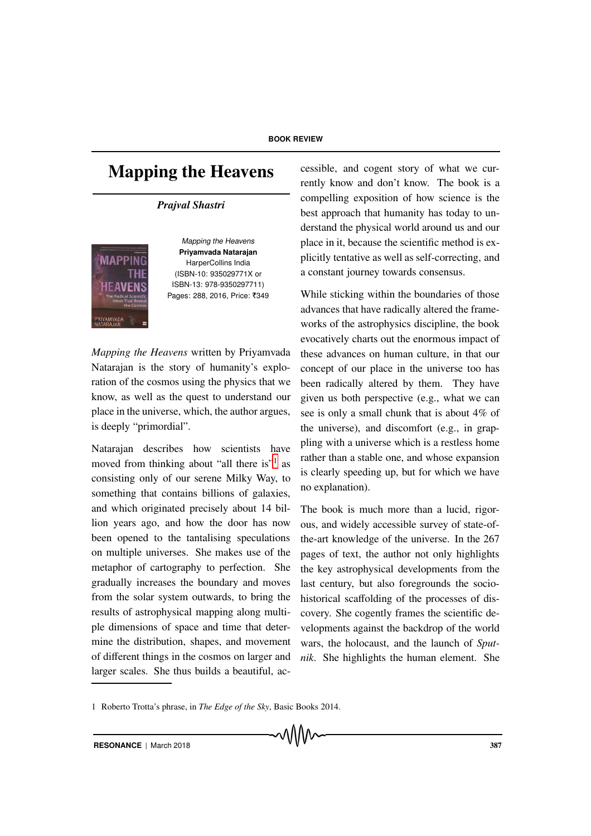## $\overline{\mathbf{H}}$  and  $\overline{\mathbf{H}}$

## *Prajval Shastri*



Mapping the Heavens **Priyamvada Natarajan** HarperCollins India (ISBN-10: 935029771X or ISBN-13: 978-9350297711) Pages: 288, 2016, Price: ₹349

*Mapping the Heavens* written by Priyamvada Natarajan is the story of humanity's exploration of the cosmos using the physics that we know, as well as the quest to understand our place in the universe, which, the author argues, is deeply "primordial".

Natarajan describes how scientists have moved from thinking about "all there is"<sup>1</sup> as consisting only of our serene Milky Way, to something that contains billions of galaxies, and which originated precisely about 14 billion years ago, and how the door has now been opened to the tantalising speculations on multiple universes. She makes use of the metaphor of cartography to perfection. She gradually increases the boundary and moves from the solar system outwards, to bring the results of astrophysical mapping along multiple dimensions of space and time that determine the distribution, shapes, and movement of different things in the cosmos on larger and larger scales. She thus builds a beautiful, accessible, and cogent story of what we currently know and don't know. The book is a compelling exposition of how science is the best approach that humanity has today to understand the physical world around us and our place in it, because the scientific method is explicitly tentative as well as self-correcting, and a constant journey towards consensus.

While sticking within the boundaries of those advances that have radically altered the frameworks of the astrophysics discipline, the book evocatively charts out the enormous impact of these advances on human culture, in that our concept of our place in the universe too has been radically altered by them. They have given us both perspective (e.g., what we can see is only a small chunk that is about 4% of the universe), and discomfort (e.g., in grappling with a universe which is a restless home rather than a stable one, and whose expansion is clearly speeding up, but for which we have no explanation).

The book is much more than a lucid, rigorous, and widely accessible survey of state-ofthe-art knowledge of the universe. In the 267 pages of text, the author not only highlights the key astrophysical developments from the last century, but also foregrounds the sociohistorical scaffolding of the processes of discovery. She cogently frames the scientific developments against the backdrop of the world wars, the holocaust, and the launch of *Sputnik*. She highlights the human element. She

᠕᠕᠕

<sup>1</sup> Roberto Trotta's phrase, in *The Edge of the Sky*, Basic Books 2014.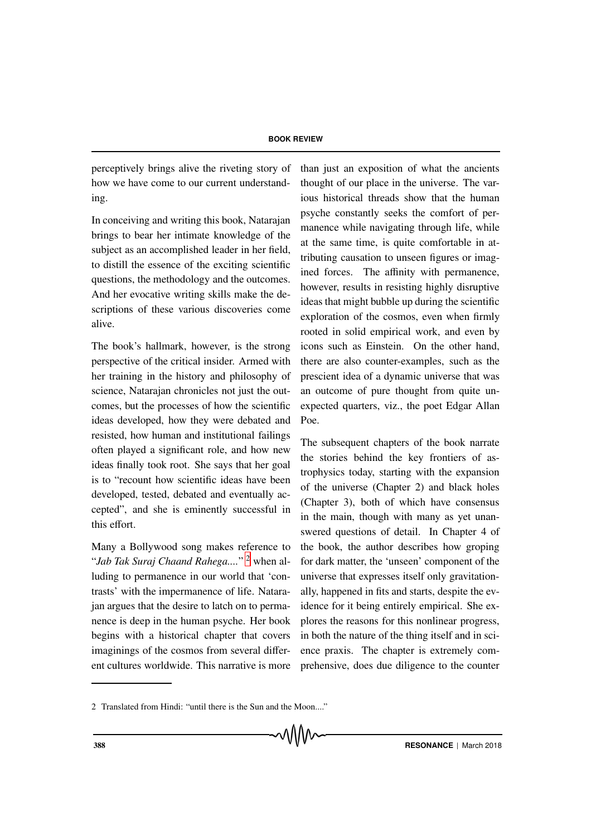perceptively brings alive the riveting story of how we have come to our current understanding.

In conceiving and writing this book, Natarajan brings to bear her intimate knowledge of the subject as an accomplished leader in her field, to distill the essence of the exciting scientific questions, the methodology and the outcomes. And her evocative writing skills make the descriptions of these various discoveries come alive.

The book's hallmark, however, is the strong perspective of the critical insider. Armed with her training in the history and philosophy of science, Natarajan chronicles not just the outcomes, but the processes of how the scientific ideas developed, how they were debated and resisted, how human and institutional failings often played a significant role, and how new ideas finally took root. She says that her goal is to "recount how scientific ideas have been developed, tested, debated and eventually accepted", and she is eminently successful in this effort.

Many a Bollywood song makes reference to "*Jab Tak Suraj Chaand Rahega....*" <sup>2</sup> when alluding to permanence in our world that 'contrasts' with the impermanence of life. Natarajan argues that the desire to latch on to permanence is deep in the human psyche. Her book begins with a historical chapter that covers imaginings of the cosmos from several different cultures worldwide. This narrative is more than just an exposition of what the ancients thought of our place in the universe. The various historical threads show that the human psyche constantly seeks the comfort of permanence while navigating through life, while at the same time, is quite comfortable in attributing causation to unseen figures or imagined forces. The affinity with permanence, however, results in resisting highly disruptive ideas that might bubble up during the scientific exploration of the cosmos, even when firmly rooted in solid empirical work, and even by icons such as Einstein. On the other hand, there are also counter-examples, such as the prescient idea of a dynamic universe that was an outcome of pure thought from quite unexpected quarters, viz., the poet Edgar Allan Poe.

The subsequent chapters of the book narrate the stories behind the key frontiers of astrophysics today, starting with the expansion of the universe (Chapter 2) and black holes (Chapter 3), both of which have consensus in the main, though with many as yet unanswered questions of detail. In Chapter 4 of the book, the author describes how groping for dark matter, the 'unseen' component of the universe that expresses itself only gravitationally, happened in fits and starts, despite the evidence for it being entirely empirical. She explores the reasons for this nonlinear progress, in both the nature of the thing itself and in science praxis. The chapter is extremely comprehensive, does due diligence to the counter

<sup>2</sup> Translated from Hindi: "until there is the Sun and the Moon...."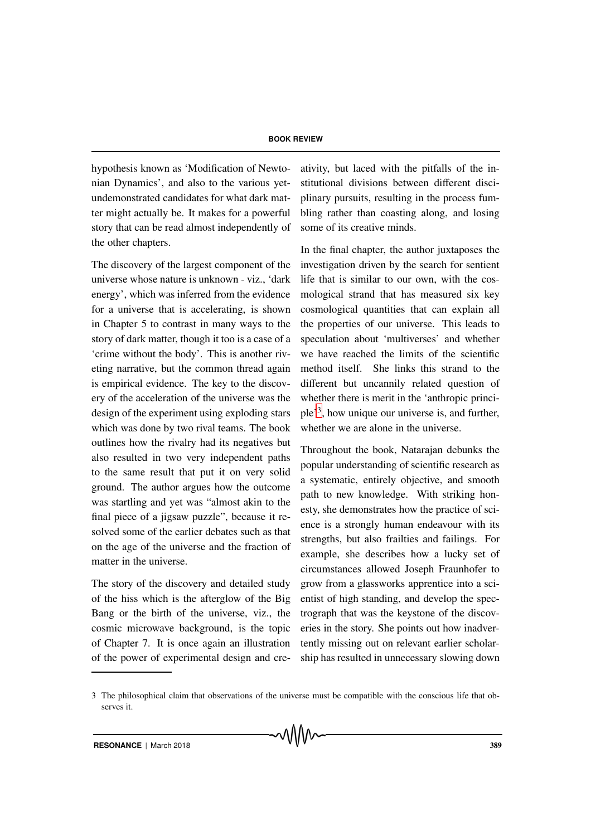hypothesis known as 'Modification of Newtonian Dynamics', and also to the various yetundemonstrated candidates for what dark matter might actually be. It makes for a powerful story that can be read almost independently of the other chapters.

The discovery of the largest component of the universe whose nature is unknown - viz., 'dark energy', which was inferred from the evidence for a universe that is accelerating, is shown in Chapter 5 to contrast in many ways to the story of dark matter, though it too is a case of a 'crime without the body'. This is another riveting narrative, but the common thread again is empirical evidence. The key to the discovery of the acceleration of the universe was the design of the experiment using exploding stars which was done by two rival teams. The book outlines how the rivalry had its negatives but also resulted in two very independent paths to the same result that put it on very solid ground. The author argues how the outcome was startling and yet was "almost akin to the final piece of a jigsaw puzzle", because it resolved some of the earlier debates such as that on the age of the universe and the fraction of matter in the universe.

The story of the discovery and detailed study of the hiss which is the afterglow of the Big Bang or the birth of the universe, viz., the cosmic microwave background, is the topic of Chapter 7. It is once again an illustration of the power of experimental design and creativity, but laced with the pitfalls of the institutional divisions between different disciplinary pursuits, resulting in the process fumbling rather than coasting along, and losing some of its creative minds.

In the final chapter, the author juxtaposes the investigation driven by the search for sentient life that is similar to our own, with the cosmological strand that has measured six key cosmological quantities that can explain all the properties of our universe. This leads to speculation about 'multiverses' and whether we have reached the limits of the scientific method itself. She links this strand to the different but uncannily related question of whether there is merit in the 'anthropic principle'3, how unique our universe is, and further, whether we are alone in the universe.

Throughout the book, Natarajan debunks the popular understanding of scientific research as a systematic, entirely objective, and smooth path to new knowledge. With striking honesty, she demonstrates how the practice of science is a strongly human endeavour with its strengths, but also frailties and failings. For example, she describes how a lucky set of circumstances allowed Joseph Fraunhofer to grow from a glassworks apprentice into a scientist of high standing, and develop the spectrograph that was the keystone of the discoveries in the story. She points out how inadvertently missing out on relevant earlier scholarship has resulted in unnecessary slowing down

<sup>3</sup> The philosophical claim that observations of the universe must be compatible with the conscious life that observes it.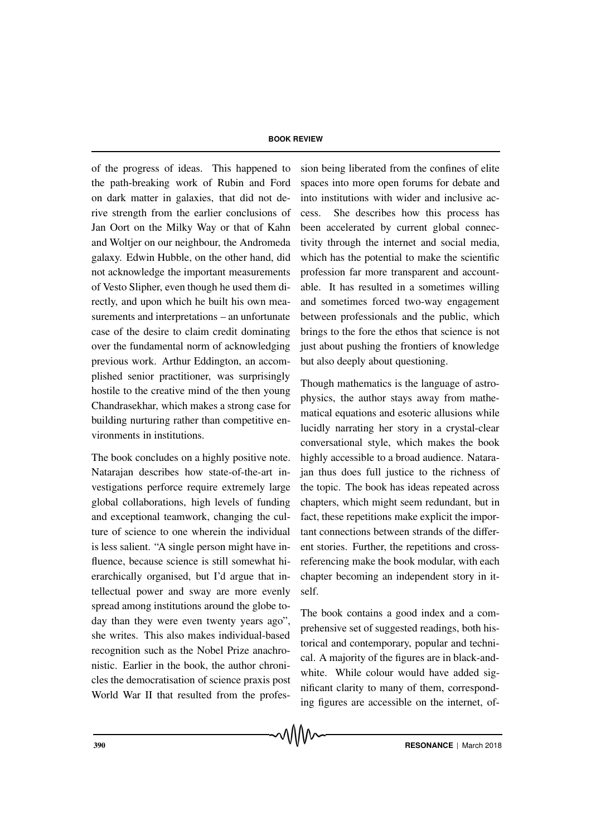of the progress of ideas. This happened to the path-breaking work of Rubin and Ford on dark matter in galaxies, that did not derive strength from the earlier conclusions of Jan Oort on the Milky Way or that of Kahn and Woltjer on our neighbour, the Andromeda galaxy. Edwin Hubble, on the other hand, did not acknowledge the important measurements of Vesto Slipher, even though he used them directly, and upon which he built his own measurements and interpretations – an unfortunate case of the desire to claim credit dominating over the fundamental norm of acknowledging previous work. Arthur Eddington, an accomplished senior practitioner, was surprisingly hostile to the creative mind of the then young Chandrasekhar, which makes a strong case for building nurturing rather than competitive environments in institutions.

The book concludes on a highly positive note. Natarajan describes how state-of-the-art investigations perforce require extremely large global collaborations, high levels of funding and exceptional teamwork, changing the culture of science to one wherein the individual is less salient. "A single person might have influence, because science is still somewhat hierarchically organised, but I'd argue that intellectual power and sway are more evenly spread among institutions around the globe today than they were even twenty years ago", she writes. This also makes individual-based recognition such as the Nobel Prize anachronistic. Earlier in the book, the author chronicles the democratisation of science praxis post World War II that resulted from the profes-

sion being liberated from the confines of elite spaces into more open forums for debate and into institutions with wider and inclusive access. She describes how this process has been accelerated by current global connectivity through the internet and social media, which has the potential to make the scientific profession far more transparent and accountable. It has resulted in a sometimes willing and sometimes forced two-way engagement between professionals and the public, which brings to the fore the ethos that science is not just about pushing the frontiers of knowledge but also deeply about questioning.

Though mathematics is the language of astrophysics, the author stays away from mathematical equations and esoteric allusions while lucidly narrating her story in a crystal-clear conversational style, which makes the book highly accessible to a broad audience. Natarajan thus does full justice to the richness of the topic. The book has ideas repeated across chapters, which might seem redundant, but in fact, these repetitions make explicit the important connections between strands of the different stories. Further, the repetitions and crossreferencing make the book modular, with each chapter becoming an independent story in itself.

The book contains a good index and a comprehensive set of suggested readings, both historical and contemporary, popular and technical. A majority of the figures are in black-andwhite. While colour would have added significant clarity to many of them, corresponding figures are accessible on the internet, of